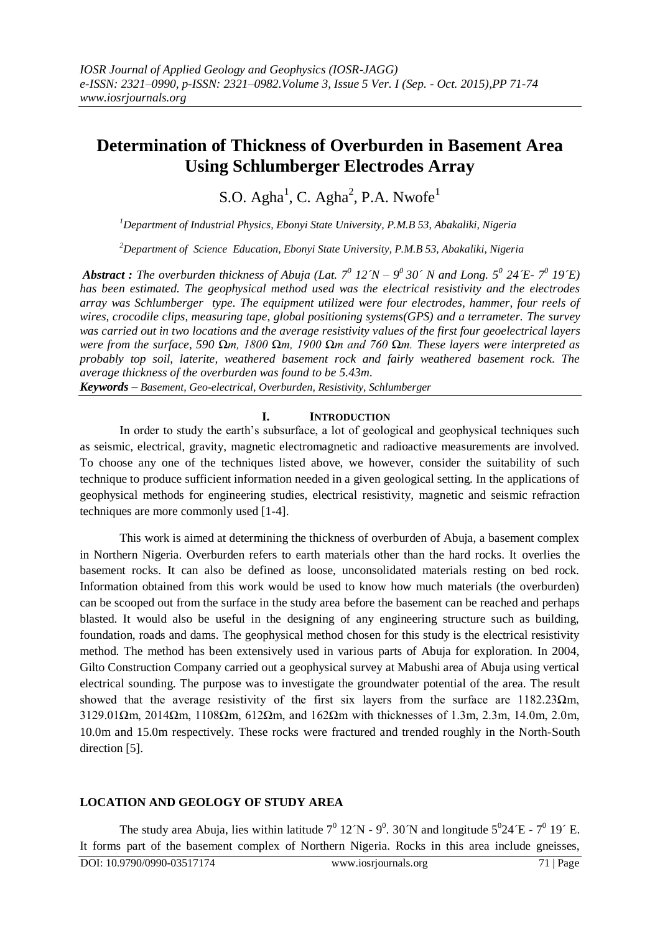# **Determination of Thickness of Overburden in Basement Area Using Schlumberger Electrodes Array**

S.O. Agha<sup>1</sup>, C. Agha<sup>2</sup>, P.A. Nwofe<sup>1</sup>

*<sup>1</sup>Department of Industrial Physics, Ebonyi State University, P.M.B 53, Abakaliki, Nigeria*

*<sup>2</sup>Department of Science Education, Ebonyi State University, P.M.B 53, Abakaliki, Nigeria*

*Abstract: The overburden thickness of Abuja (Lat.*  $7^0$  *12*  $N - 9^0$  *30* $\degree$  *N and Long.*  $5^0$  *24*  $E$ *-*  $7^0$  *19* $\degree$ *E) has been estimated. The geophysical method used was the electrical resistivity and the electrodes array was Schlumberger type. The equipment utilized were four electrodes, hammer, four reels of wires, crocodile clips, measuring tape, global positioning systems(GPS) and a terrameter. The survey was carried out in two locations and the average resistivity values of the first four geoelectrical layers were from the surface, 590 Ωm, 1800 Ωm, 1900 Ωm and 760 Ωm. These layers were interpreted as probably top soil, laterite, weathered basement rock and fairly weathered basement rock. The average thickness of the overburden was found to be 5.43m.*

*Keywords – Basement, Geo-electrical, Overburden, Resistivity, Schlumberger*

## **I. INTRODUCTION**

In order to study the earth's subsurface, a lot of geological and geophysical techniques such as seismic, electrical, gravity, magnetic electromagnetic and radioactive measurements are involved. To choose any one of the techniques listed above, we however, consider the suitability of such technique to produce sufficient information needed in a given geological setting. In the applications of geophysical methods for engineering studies, electrical resistivity, magnetic and seismic refraction techniques are more commonly used [1-4].

This work is aimed at determining the thickness of overburden of Abuja, a basement complex in Northern Nigeria. Overburden refers to earth materials other than the hard rocks. It overlies the basement rocks. It can also be defined as loose, unconsolidated materials resting on bed rock. Information obtained from this work would be used to know how much materials (the overburden) can be scooped out from the surface in the study area before the basement can be reached and perhaps blasted. It would also be useful in the designing of any engineering structure such as building, foundation, roads and dams. The geophysical method chosen for this study is the electrical resistivity method. The method has been extensively used in various parts of Abuja for exploration. In 2004, Gilto Construction Company carried out a geophysical survey at Mabushi area of Abuja using vertical electrical sounding. The purpose was to investigate the groundwater potential of the area. The result showed that the average resistivity of the first six layers from the surface are  $1182.23 \Omega$ m, 3129.01 $\Omega$ m, 2014 $\Omega$ m, 1108 $\Omega$ m, 612 $\Omega$ m, and 162 $\Omega$ m with thicknesses of 1.3m, 2.3m, 14.0m, 2.0m, 10.0m and 15.0m respectively. These rocks were fractured and trended roughly in the North-South direction [5].

## **LOCATION AND GEOLOGY OF STUDY AREA**

The study area Abuja, lies within latitude  $7^0$  12 N -  $9^0$ . 30 N and longitude  $5^024 \text{ E}$  -  $7^0$  19 $\degree$  E. It forms part of the basement complex of Northern Nigeria. Rocks in this area include gneisses,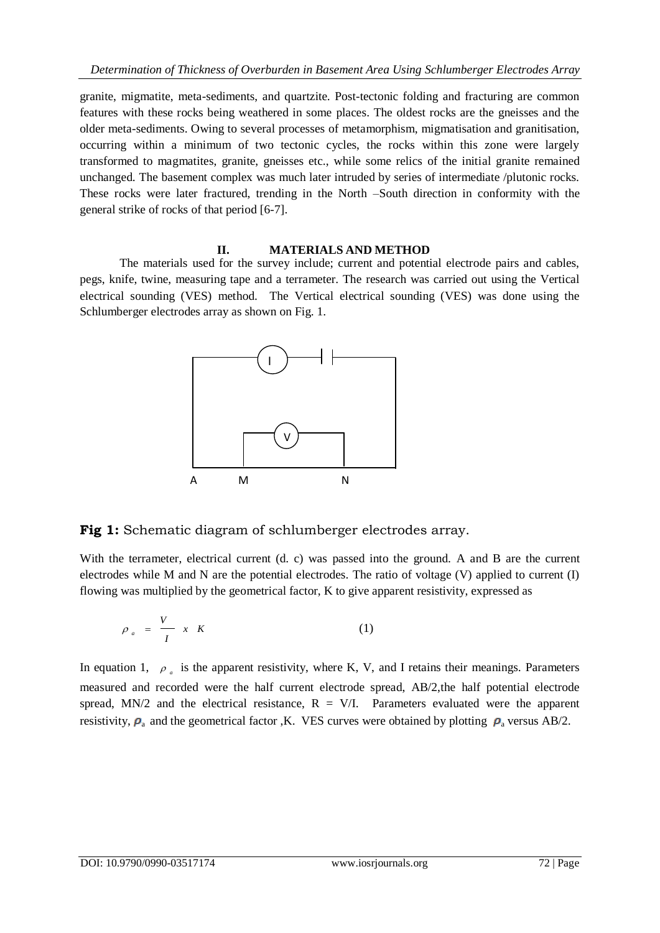granite, migmatite, meta-sediments, and quartzite. Post-tectonic folding and fracturing are common features with these rocks being weathered in some places. The oldest rocks are the gneisses and the older meta-sediments. Owing to several processes of metamorphism, migmatisation and granitisation, occurring within a minimum of two tectonic cycles, the rocks within this zone were largely transformed to magmatites, granite, gneisses etc., while some relics of the initial granite remained unchanged. The basement complex was much later intruded by series of intermediate /plutonic rocks. These rocks were later fractured, trending in the North –South direction in conformity with the general strike of rocks of that period [6-7].

## **II. MATERIALS AND METHOD**

The materials used for the survey include; current and potential electrode pairs and cables, pegs, knife, twine, measuring tape and a terrameter. The research was carried out using the Vertical electrical sounding (VES) method. The Vertical electrical sounding (VES) was done using the Schlumberger electrodes array as shown on Fig. 1.



**Fig 1:** Schematic diagram of schlumberger electrodes array.

With the terrameter, electrical current (d. c) was passed into the ground. A and B are the current electrodes while M and N are the potential electrodes. The ratio of voltage (V) applied to current (I) flowing was multiplied by the geometrical factor, K to give apparent resistivity, expressed as

$$
\rho_a = \frac{V}{I} \times K \tag{1}
$$

In equation 1,  $\rho_a$  is the apparent resistivity, where K, V, and I retains their meanings. Parameters measured and recorded were the half current electrode spread, AB/2,the half potential electrode spread, MN/2 and the electrical resistance,  $R = V/I$ . Parameters evaluated were the apparent resistivity,  $\rho_a$  and the geometrical factor ,K. VES curves were obtained by plotting  $\rho_a$  versus AB/2.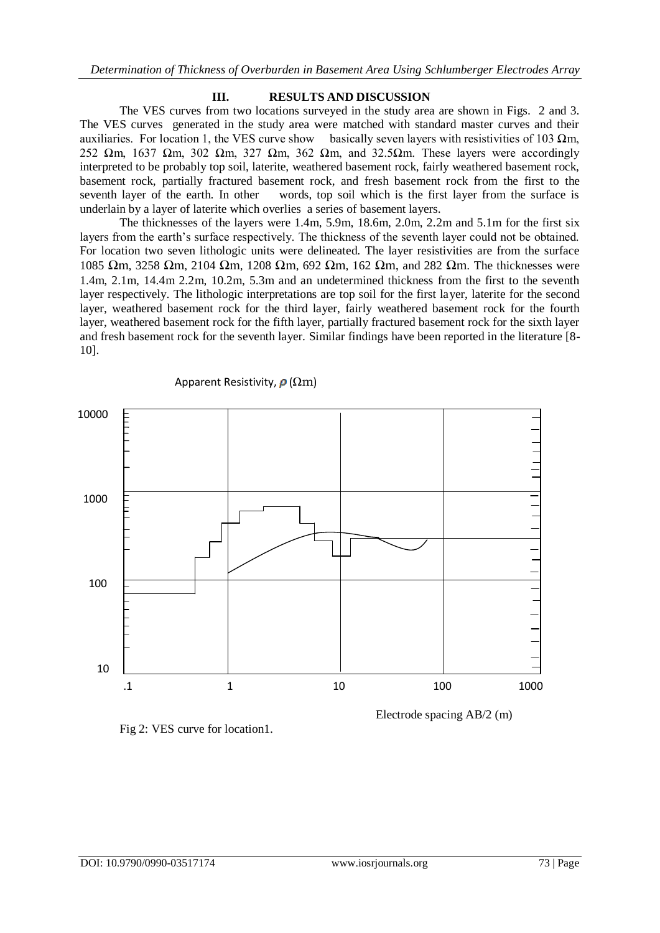#### **III. RESULTS AND DISCUSSION**

The VES curves from two locations surveyed in the study area are shown in Figs. 2 and 3. The VES curves generated in the study area were matched with standard master curves and their auxiliaries. For location 1, the VES curve show basically seven layers with resistivities of 103  $\Omega$ m, 252  $\Omega$ m, 1637  $\Omega$ m, 302  $\Omega$ m, 327  $\Omega$ m, 362  $\Omega$ m, and 32.5 $\Omega$ m. These layers were accordingly interpreted to be probably top soil, laterite, weathered basement rock, fairly weathered basement rock, basement rock, partially fractured basement rock, and fresh basement rock from the first to the seventh layer of the earth. In other words, top soil which is the first layer from the surface is underlain by a layer of laterite which overlies a series of basement layers.

The thicknesses of the layers were 1.4m, 5.9m, 18.6m, 2.0m, 2.2m and 5.1m for the first six layers from the earth's surface respectively. The thickness of the seventh layer could not be obtained. For location two seven lithologic units were delineated. The layer resistivities are from the surface 1085 Ωm, 3258 Ωm, 2104 Ωm, 1208 Ωm, 692 Ωm, 162 Ωm, and 282 Ωm. The thicknesses were 1.4m, 2.1m, 14.4m 2.2m, 10.2m, 5.3m and an undetermined thickness from the first to the seventh layer respectively. The lithologic interpretations are top soil for the first layer, laterite for the second layer, weathered basement rock for the third layer, fairly weathered basement rock for the fourth layer, weathered basement rock for the fifth layer, partially fractured basement rock for the sixth layer and fresh basement rock for the seventh layer. Similar findings have been reported in the literature [8- 10].



Apparent Resistivity,  $\rho$  ( $\Omega$ m)



Electrode spacing AB/2 (m)